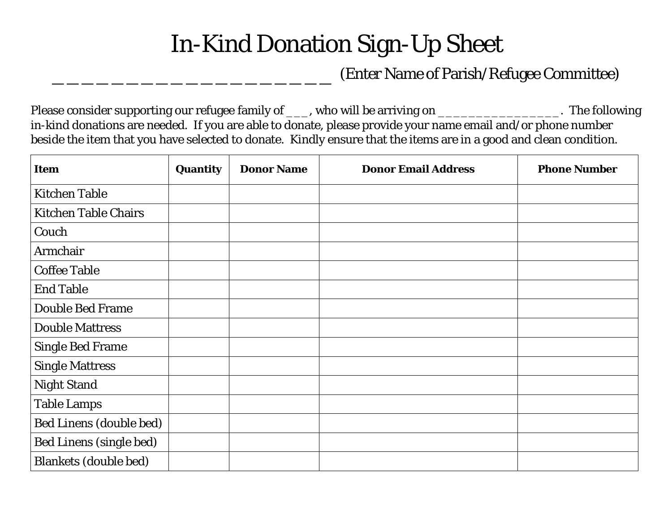## In-Kind Donation Sign-Up Sheet

## \_\_\_\_\_\_\_\_\_\_\_\_\_\_\_\_\_\_\_ (Enter Name of Parish/Refugee Committee)

Please consider supporting our refugee family of \_\_\_, who will be arriving on \_\_\_\_\_\_\_\_\_\_\_\_\_\_\_\_\_\_. The following in-kind donations are needed. If you are able to donate, please provide your name email and/or phone number beside the item that you have selected to donate. Kindly ensure that the items are in a good and clean condition.

| <b>Item</b>                    | Quantity | <b>Donor Name</b> | <b>Donor Email Address</b> | <b>Phone Number</b> |
|--------------------------------|----------|-------------------|----------------------------|---------------------|
| <b>Kitchen Table</b>           |          |                   |                            |                     |
| <b>Kitchen Table Chairs</b>    |          |                   |                            |                     |
| Couch                          |          |                   |                            |                     |
| Armchair                       |          |                   |                            |                     |
| <b>Coffee Table</b>            |          |                   |                            |                     |
| <b>End Table</b>               |          |                   |                            |                     |
| <b>Double Bed Frame</b>        |          |                   |                            |                     |
| <b>Double Mattress</b>         |          |                   |                            |                     |
| <b>Single Bed Frame</b>        |          |                   |                            |                     |
| <b>Single Mattress</b>         |          |                   |                            |                     |
| <b>Night Stand</b>             |          |                   |                            |                     |
| <b>Table Lamps</b>             |          |                   |                            |                     |
| Bed Linens (double bed)        |          |                   |                            |                     |
| <b>Bed Linens (single bed)</b> |          |                   |                            |                     |
| <b>Blankets (double bed)</b>   |          |                   |                            |                     |